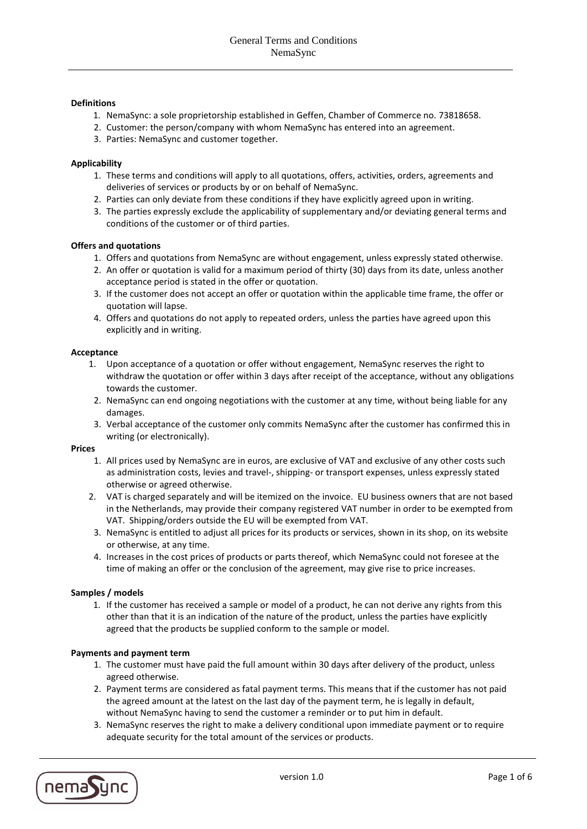## **Definitions**

- 1. NemaSync: a sole proprietorship established in Geffen, Chamber of Commerce no. 73818658.
- 2. Customer: the person/company with whom NemaSync has entered into an agreement.
- 3. Parties: NemaSync and customer together.

## **Applicability**

- 1. These terms and conditions will apply to all quotations, offers, activities, orders, agreements and deliveries of services or products by or on behalf of NemaSync.
- 2. Parties can only deviate from these conditions if they have explicitly agreed upon in writing.
- 3. The parties expressly exclude the applicability of supplementary and/or deviating general terms and conditions of the customer or of third parties.

#### **Offers and quotations**

- 1. Offers and quotations from NemaSync are without engagement, unless expressly stated otherwise.
- 2. An offer or quotation is valid for a maximum period of thirty (30) days from its date, unless another acceptance period is stated in the offer or quotation.
- 3. If the customer does not accept an offer or quotation within the applicable time frame, the offer or quotation will lapse.
- 4. Offers and quotations do not apply to repeated orders, unless the parties have agreed upon this explicitly and in writing.

#### **Acceptance**

- 1. Upon acceptance of a quotation or offer without engagement, NemaSync reserves the right to withdraw the quotation or offer within 3 days after receipt of the acceptance, without any obligations towards the customer.
- 2. NemaSync can end ongoing negotiations with the customer at any time, without being liable for any damages.
- 3. Verbal acceptance of the customer only commits NemaSync after the customer has confirmed this in writing (or electronically).

## **Prices**

- 1. All prices used by NemaSync are in euros, are exclusive of VAT and exclusive of any other costs such as administration costs, levies and travel-, shipping- or transport expenses, unless expressly stated otherwise or agreed otherwise.
- 2. VAT is charged separately and will be itemized on the invoice. EU business owners that are not based in the Netherlands, may provide their company registered VAT number in order to be exempted from VAT. Shipping/orders outside the EU will be exempted from VAT.
- 3. NemaSync is entitled to adjust all prices for its products or services, shown in its shop, on its website or otherwise, at any time.
- 4. Increases in the cost prices of products or parts thereof, which NemaSync could not foresee at the time of making an offer or the conclusion of the agreement, may give rise to price increases.

#### **Samples / models**

1. If the customer has received a sample or model of a product, he can not derive any rights from this other than that it is an indication of the nature of the product, unless the parties have explicitly agreed that the products be supplied conform to the sample or model.

#### **Payments and payment term**

- 1. The customer must have paid the full amount within 30 days after delivery of the product, unless agreed otherwise.
- 2. Payment terms are considered as fatal payment terms. This means that if the customer has not paid the agreed amount at the latest on the last day of the payment term, he is legally in default, without NemaSync having to send the customer a reminder or to put him in default.
- 3. NemaSync reserves the right to make a delivery conditional upon immediate payment or to require adequate security for the total amount of the services or products.

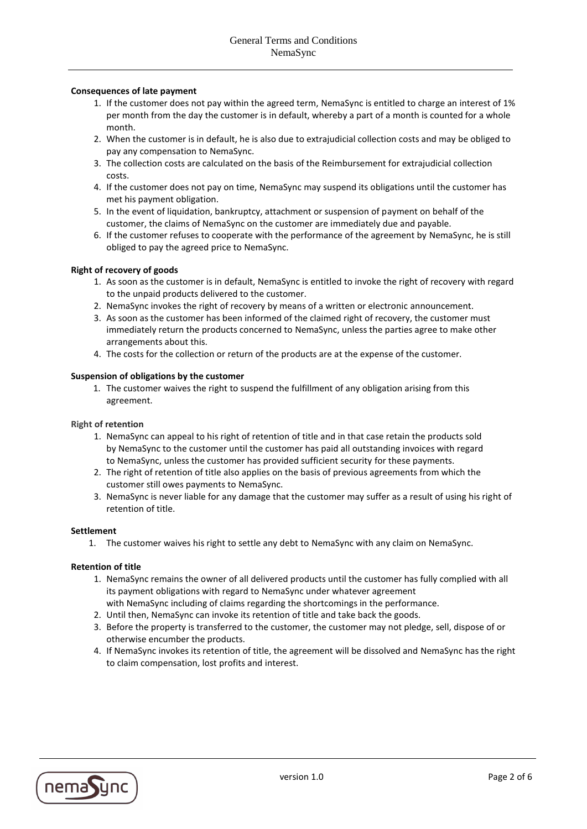## **Consequences of late payment**

- 1. If the customer does not pay within the agreed term, NemaSync is entitled to charge an interest of 1% per month from the day the customer is in default, whereby a part of a month is counted for a whole month.
- 2. When the customer is in default, he is also due to extrajudicial collection costs and may be obliged to pay any compensation to NemaSync.
- 3. The collection costs are calculated on the basis of the Reimbursement for extrajudicial collection costs.
- 4. If the customer does not pay on time, NemaSync may suspend its obligations until the customer has met his payment obligation.
- 5. In the event of liquidation, bankruptcy, attachment or suspension of payment on behalf of the customer, the claims of NemaSync on the customer are immediately due and payable.
- 6. If the customer refuses to cooperate with the performance of the agreement by NemaSync, he is still obliged to pay the agreed price to NemaSync.

#### **Right of recovery of goods**

- 1. As soon as the customer is in default, NemaSync is entitled to invoke the right of recovery with regard to the unpaid products delivered to the customer.
- 2. NemaSync invokes the right of recovery by means of a written or electronic announcement.
- 3. As soon as the customer has been informed of the claimed right of recovery, the customer must immediately return the products concerned to NemaSync, unless the parties agree to make other arrangements about this.
- 4. The costs for the collection or return of the products are at the expense of the customer.

## **Suspension of obligations by the customer**

1. The customer waives the right to suspend the fulfillment of any obligation arising from this agreement.

#### **Right of retention**

- 1. NemaSync can appeal to his right of retention of title and in that case retain the products sold by NemaSync to the customer until the customer has paid all outstanding invoices with regard to NemaSync, unless the customer has provided sufficient security for these payments.
- 2. The right of retention of title also applies on the basis of previous agreements from which the customer still owes payments to NemaSync.
- 3. NemaSync is never liable for any damage that the customer may suffer as a result of using his right of retention of title.

#### **Settlement**

1. The customer waives his right to settle any debt to NemaSync with any claim on NemaSync.

#### **Retention of title**

- 1. NemaSync remains the owner of all delivered products until the customer has fully complied with all its payment obligations with regard to NemaSync under whatever agreement with NemaSync including of claims regarding the shortcomings in the performance.
- 2. Until then, NemaSync can invoke its retention of title and take back the goods.
- 3. Before the property is transferred to the customer, the customer may not pledge, sell, dispose of or otherwise encumber the products.
- 4. If NemaSync invokes its retention of title, the agreement will be dissolved and NemaSync has the right to claim compensation, lost profits and interest.

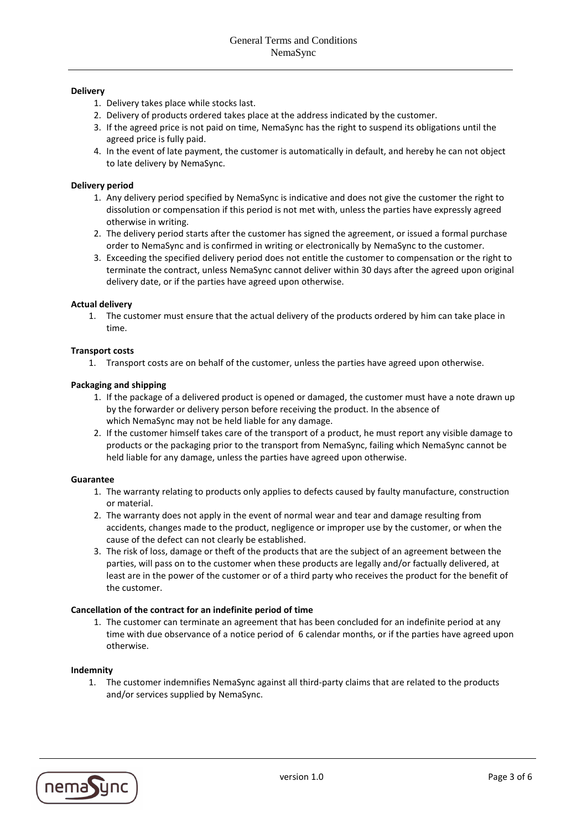## **Delivery**

- 1. Delivery takes place while stocks last.
- 2. Delivery of products ordered takes place at the address indicated by the customer.
- 3. If the agreed price is not paid on time, NemaSync has the right to suspend its obligations until the agreed price is fully paid.
- 4. In the event of late payment, the customer is automatically in default, and hereby he can not object to late delivery by NemaSync.

## **Delivery period**

- 1. Any delivery period specified by NemaSync is indicative and does not give the customer the right to dissolution or compensation if this period is not met with, unless the parties have expressly agreed otherwise in writing.
- 2. The delivery period starts after the customer has signed the agreement, or issued a formal purchase order to NemaSync and is confirmed in writing or electronically by NemaSync to the customer.
- 3. Exceeding the specified delivery period does not entitle the customer to compensation or the right to terminate the contract, unless NemaSync cannot deliver within 30 days after the agreed upon original delivery date, or if the parties have agreed upon otherwise.

## **Actual delivery**

1. The customer must ensure that the actual delivery of the products ordered by him can take place in time.

## **Transport costs**

1. Transport costs are on behalf of the customer, unless the parties have agreed upon otherwise.

## **Packaging and shipping**

- 1. If the package of a delivered product is opened or damaged, the customer must have a note drawn up by the forwarder or delivery person before receiving the product. In the absence of which NemaSync may not be held liable for any damage.
- 2. If the customer himself takes care of the transport of a product, he must report any visible damage to products or the packaging prior to the transport from NemaSync, failing which NemaSync cannot be held liable for any damage, unless the parties have agreed upon otherwise.

#### **Guarantee**

- 1. The warranty relating to products only applies to defects caused by faulty manufacture, construction or material.
- 2. The warranty does not apply in the event of normal wear and tear and damage resulting from accidents, changes made to the product, negligence or improper use by the customer, or when the cause of the defect can not clearly be established.
- 3. The risk of loss, damage or theft of the products that are the subject of an agreement between the parties, will pass on to the customer when these products are legally and/or factually delivered, at least are in the power of the customer or of a third party who receives the product for the benefit of the customer.

# **Cancellation of the contract for an indefinite period of time**

1. The customer can terminate an agreement that has been concluded for an indefinite period at any time with due observance of a notice period of 6 calendar months, or if the parties have agreed upon otherwise.

#### **Indemnity**

1. The customer indemnifies NemaSync against all third-party claims that are related to the products and/or services supplied by NemaSync.

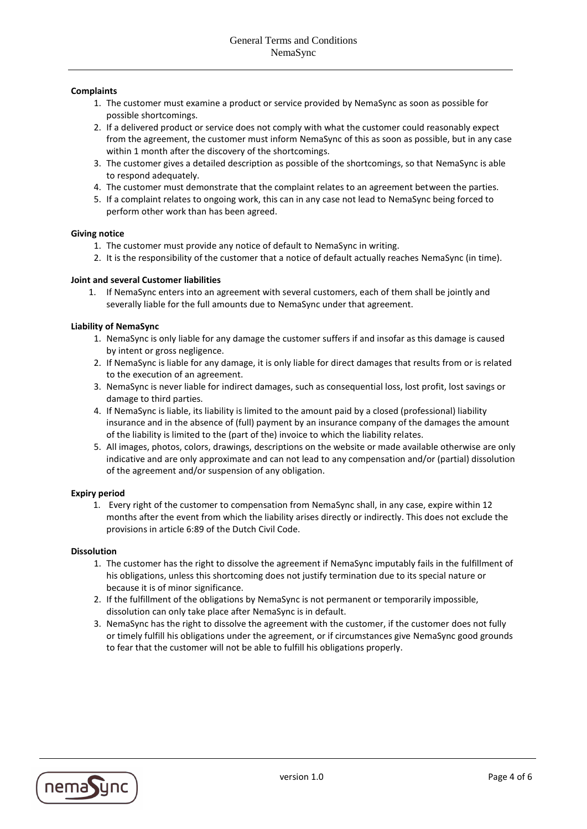## **Complaints**

- 1. The customer must examine a product or service provided by NemaSync as soon as possible for possible shortcomings.
- 2. If a delivered product or service does not comply with what the customer could reasonably expect from the agreement, the customer must inform NemaSync of this as soon as possible, but in any case within 1 month after the discovery of the shortcomings.
- 3. The customer gives a detailed description as possible of the shortcomings, so that NemaSync is able to respond adequately.
- 4. The customer must demonstrate that the complaint relates to an agreement between the parties.
- 5. If a complaint relates to ongoing work, this can in any case not lead to NemaSync being forced to perform other work than has been agreed.

## **Giving notice**

- 1. The customer must provide any notice of default to NemaSync in writing.
- 2. It is the responsibility of the customer that a notice of default actually reaches NemaSync (in time).

## **Joint and several Customer liabilities**

1. If NemaSync enters into an agreement with several customers, each of them shall be jointly and severally liable for the full amounts due to NemaSync under that agreement.

# **Liability of NemaSync**

- 1. NemaSync is only liable for any damage the customer suffers if and insofar as this damage is caused by intent or gross negligence.
- 2. If NemaSync is liable for any damage, it is only liable for direct damages that results from or is related to the execution of an agreement.
- 3. NemaSync is never liable for indirect damages, such as consequential loss, lost profit, lost savings or damage to third parties.
- 4. If NemaSync is liable, its liability is limited to the amount paid by a closed (professional) liability insurance and in the absence of (full) payment by an insurance company of the damages the amount of the liability is limited to the (part of the) invoice to which the liability relates.
- 5. All images, photos, colors, drawings, descriptions on the website or made available otherwise are only indicative and are only approximate and can not lead to any compensation and/or (partial) dissolution of the agreement and/or suspension of any obligation.

#### **Expiry period**

1. Every right of the customer to compensation from NemaSync shall, in any case, expire within 12 months after the event from which the liability arises directly or indirectly. This does not exclude the provisions in article 6:89 of the Dutch Civil Code.

#### **Dissolution**

- 1. The customer has the right to dissolve the agreement if NemaSync imputably fails in the fulfillment of his obligations, unless this shortcoming does not justify termination due to its special nature or because it is of minor significance.
- 2. If the fulfillment of the obligations by NemaSync is not permanent or temporarily impossible, dissolution can only take place after NemaSync is in default.
- 3. NemaSync has the right to dissolve the agreement with the customer, if the customer does not fully or timely fulfill his obligations under the agreement, or if circumstances give NemaSync good grounds to fear that the customer will not be able to fulfill his obligations properly.

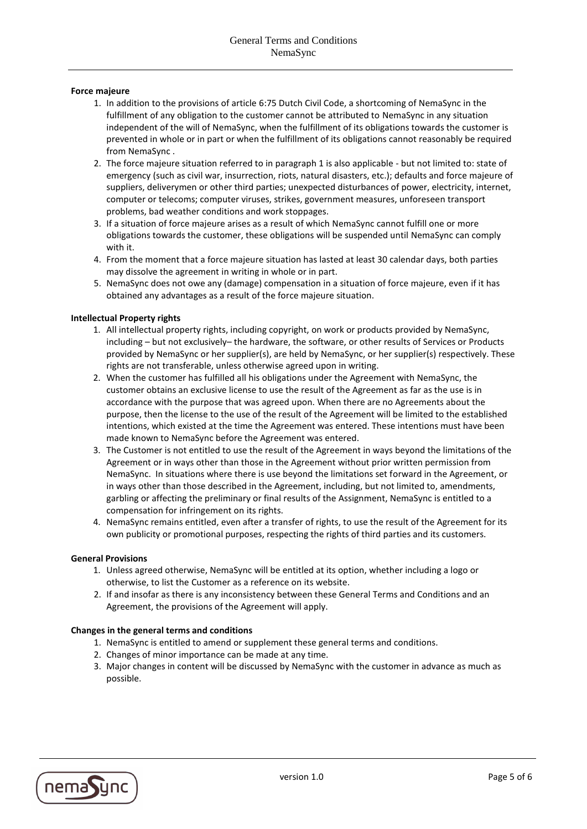## **Force majeure**

- 1. In addition to the provisions of article 6:75 Dutch Civil Code, a shortcoming of NemaSync in the fulfillment of any obligation to the customer cannot be attributed to NemaSync in any situation independent of the will of NemaSync, when the fulfillment of its obligations towards the customer is prevented in whole or in part or when the fulfillment of its obligations cannot reasonably be required from NemaSync .
- 2. The force majeure situation referred to in paragraph 1 is also applicable but not limited to: state of emergency (such as civil war, insurrection, riots, natural disasters, etc.); defaults and force majeure of suppliers, deliverymen or other third parties; unexpected disturbances of power, electricity, internet, computer or telecoms; computer viruses, strikes, government measures, unforeseen transport problems, bad weather conditions and work stoppages.
- 3. If a situation of force majeure arises as a result of which NemaSync cannot fulfill one or more obligations towards the customer, these obligations will be suspended until NemaSync can comply with it.
- 4. From the moment that a force majeure situation has lasted at least 30 calendar days, both parties may dissolve the agreement in writing in whole or in part.
- 5. NemaSync does not owe any (damage) compensation in a situation of force majeure, even if it has obtained any advantages as a result of the force majeure situation.

## **Intellectual Property rights**

- 1. All intellectual property rights, including copyright, on work or products provided by NemaSync, including – but not exclusively– the hardware, the software, or other results of Services or Products provided by NemaSync or her supplier(s), are held by NemaSync, or her supplier(s) respectively. These rights are not transferable, unless otherwise agreed upon in writing.
- 2. When the customer has fulfilled all his obligations under the Agreement with NemaSync, the customer obtains an exclusive license to use the result of the Agreement as far as the use is in accordance with the purpose that was agreed upon. When there are no Agreements about the purpose, then the license to the use of the result of the Agreement will be limited to the established intentions, which existed at the time the Agreement was entered. These intentions must have been made known to NemaSync before the Agreement was entered.
- 3. The Customer is not entitled to use the result of the Agreement in ways beyond the limitations of the Agreement or in ways other than those in the Agreement without prior written permission from NemaSync. In situations where there is use beyond the limitations set forward in the Agreement, or in ways other than those described in the Agreement, including, but not limited to, amendments, garbling or affecting the preliminary or final results of the Assignment, NemaSync is entitled to a compensation for infringement on its rights.
- 4. NemaSync remains entitled, even after a transfer of rights, to use the result of the Agreement for its own publicity or promotional purposes, respecting the rights of third parties and its customers.

#### **General Provisions**

- 1. Unless agreed otherwise, NemaSync will be entitled at its option, whether including a logo or otherwise, to list the Customer as a reference on its website.
- 2. If and insofar as there is any inconsistency between these General Terms and Conditions and an Agreement, the provisions of the Agreement will apply.

# **Changes in the general terms and conditions**

- 1. NemaSync is entitled to amend or supplement these general terms and conditions.
- 2. Changes of minor importance can be made at any time.
- 3. Major changes in content will be discussed by NemaSync with the customer in advance as much as possible.